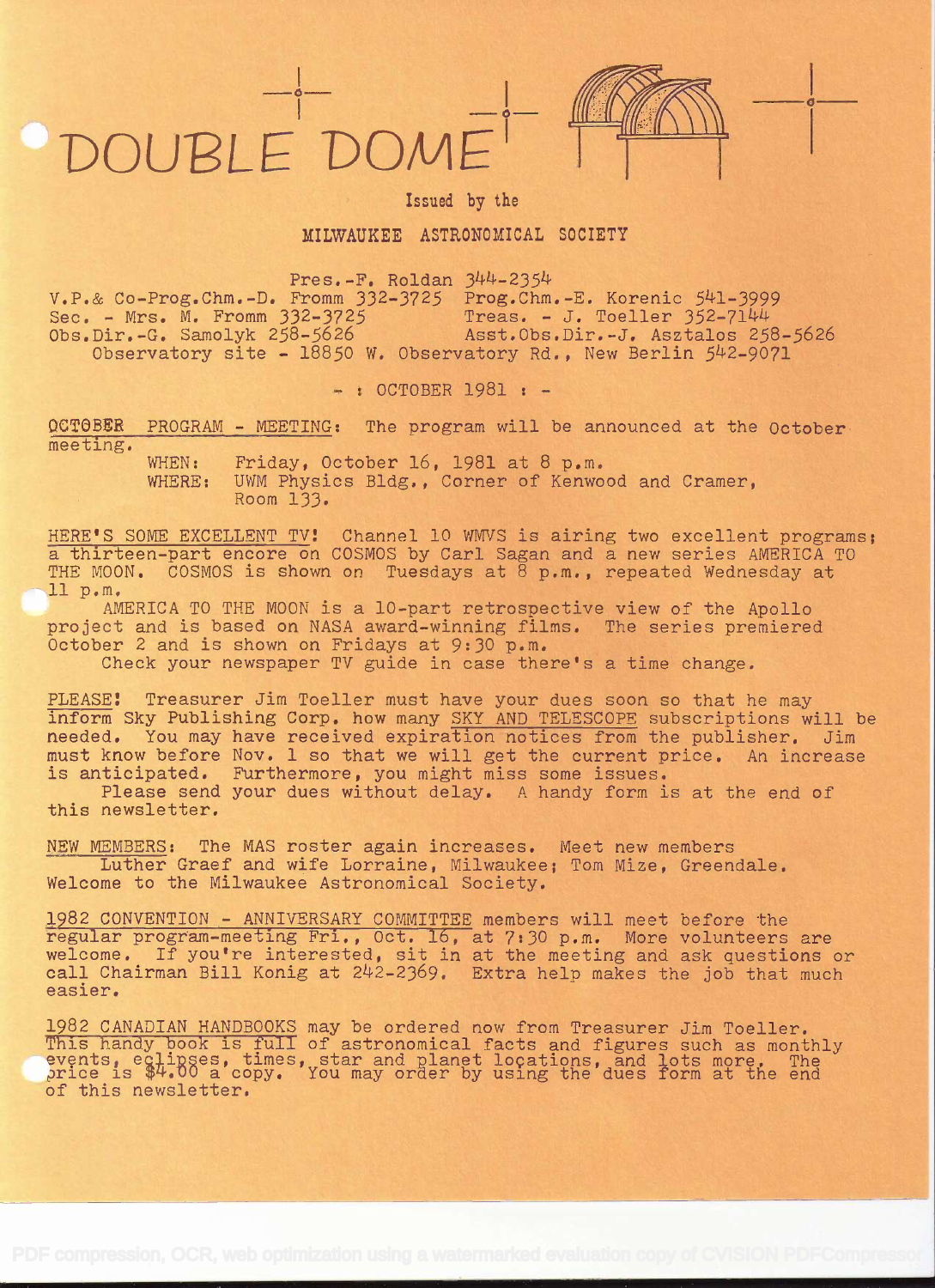## DOUPLE'DOM±



is a complete the contract of the

Issued by the

## MILWAUKEE ASTRONOMICAL SOCIETY

Pres. $-F.$  Roldan  $344-2354$ 

V.P.& Co-Prog.Chm.-D. Fromm 332-3725 Prog.Chm.-E. Korenic 54l-3999 Sec. - Mrs. M. Fromm 332-3725 Treas. - J. Toeller 352-7144 Obs.Dir.-G. Samolyk 258-5626 Asst.Obs.Dir.-J. Asztalos 258-5626 Observatory site - 18850 W. Observatory Rd., New Berlin 542-9071

 $-:$  OCTOBER 1981 :  $-$ 

OCTOBER PROGRAM - MEETING: The program will be announced at the October meeting.

> WHEN: Friday, October 16, 1981 at 8 p.m. WHERE: UWM Physics Bldg., Corner of Kenwood and Cramer, Room 133.

HERE'S SOME EXCELLENT TV! Channel 10 WMVS is airing two excellent programs; a thirteen-part encore on COSMOS by Carl Sagan and a new series AMERICA TO THE MOON. COSMOS is shown on Tuesdays at  $\overline{8}$  p.m., repeated Wednesday at 11 p.m.

AMERICA TO THE MOON is a 10-part retrospective view of the Apollo project and is based on NASA award-winning films. The series premiered October 2 and is shown on Fridays at 9:30 p.m.

Check your newspaper TV guide in case there's a time change.

PLEASE! Treasurer Jim Toeller must have your dues soon so that he may inform Sky Publishing Corp. how many SKY AND TELESCOPE subscriptions will be needed. You may have received expiration notices from the publisher. Jim must know before Nov. 1 so that we will get the current price. An increase is anticipated. Furthermore, you might miss some issues.

Please send your dues without delay. A handy form is at the end of this newsletter.

NEW MEMBERS: The MAS roster again increases. Meet new members Luther Graef and wife Lorraine, Milwaukee; Tom Mize, Greendale. Welcome to the Milwaukee Astronomical Society.

1982 CONVENTION - ANNIVERSARY COMMITTEE members will meet before the regular program-meeting Fri., Oct. 16, at 7:30 p.m. More volunteers are welcome. If you're interested, sit in at the meeting and ask questions or call Chairman Bill Konig at 242-2369. Extra help makes the job that much easier.

1982 CANADIAN HANDBOOKS may be ordered now from Treasurer Jim Toeller. This handy book is full of astronomical facts and figures such as monthly events, eqlipses, times, star and planet locations, and lots more. The price is \$4.00 a copy. You may order by using the dues form at the end of this newsletter.